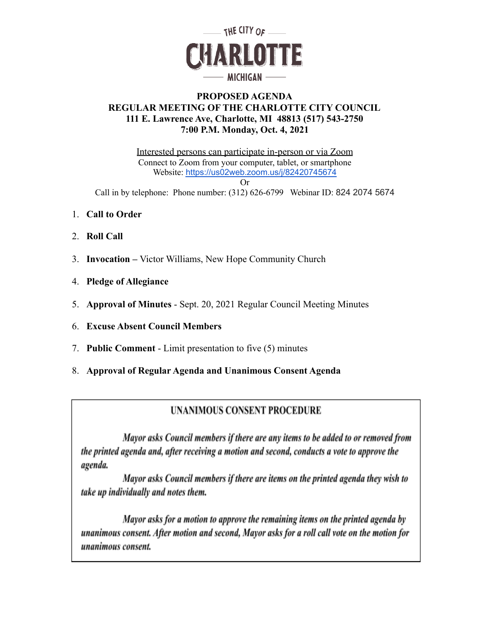

# **PROPOSED AGENDA REGULAR MEETING OF THE CHARLOTTE CITY COUNCIL 111 E. Lawrence Ave, Charlotte, MI 48813 (517) 543-2750 7:00 P.M. Monday, Oct. 4, 2021**

Interested persons can participate in-person or via Zoom Connect to Zoom from your computer, tablet, or smartphone Website: <https://us02web.zoom.us/j/82420745674>

Or

Call in by telephone: Phone number: (312) 626-6799 Webinar ID: 824 2074 5674

- 1. **Call to Order**
- 2. **Roll Call**
- 3. **Invocation –** Victor Williams, New Hope Community Church
- 4. **Pledge of Allegiance**
- 5. **Approval of Minutes** Sept. 20, 2021 Regular Council Meeting Minutes
- 6. **Excuse Absent Council Members**
- 7. **Public Comment** Limit presentation to five (5) minutes
- 8. **Approval of Regular Agenda and Unanimous Consent Agenda**

# **UNANIMOUS CONSENT PROCEDURE**

Mayor asks Council members if there are any items to be added to or removed from the printed agenda and, after receiving a motion and second, conducts a vote to approve the agenda.

Mayor asks Council members if there are items on the printed agenda they wish to take up individually and notes them.

Mayor asks for a motion to approve the remaining items on the printed agenda by unanimous consent. After motion and second, Mayor asks for a roll call vote on the motion for unanimous consent.